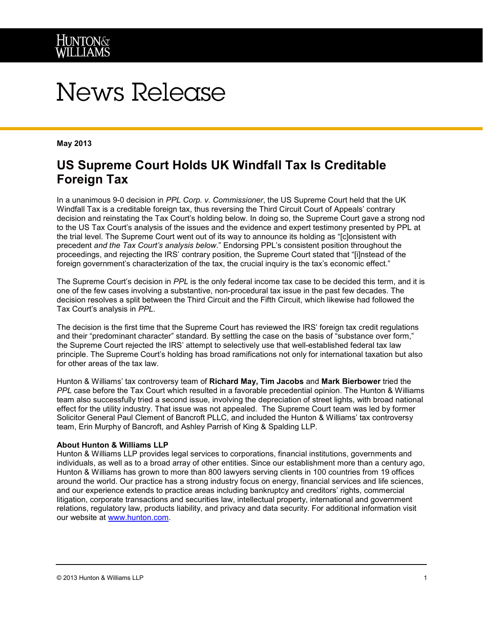# News Release

### **May 2013**

# **US Supreme Court Holds UK Windfall Tax Is Creditable Foreign Tax**

In a unanimous 9-0 decision in *PPL Corp. v. Commissioner*, the US Supreme Court held that the UK Windfall Tax is a creditable foreign tax, thus reversing the Third Circuit Court of Appeals' contrary decision and reinstating the Tax Court's holding below. In doing so, the Supreme Court gave a strong nod to the US Tax Court's analysis of the issues and the evidence and expert testimony presented by PPL at the trial level. The Supreme Court went out of its way to announce its holding as "[c]onsistent with precedent *and the Tax Court's analysis below*." Endorsing PPL's consistent position throughout the proceedings, and rejecting the IRS' contrary position, the Supreme Court stated that "[i]nstead of the foreign government's characterization of the tax, the crucial inquiry is the tax's economic effect."

The Supreme Court's decision in *PPL* is the only federal income tax case to be decided this term, and it is one of the few cases involving a substantive, non-procedural tax issue in the past few decades. The decision resolves a split between the Third Circuit and the Fifth Circuit, which likewise had followed the Tax Court's analysis in *PPL*.

The decision is the first time that the Supreme Court has reviewed the IRS' foreign tax credit regulations and their "predominant character" standard. By settling the case on the basis of "substance over form," the Supreme Court rejected the IRS' attempt to selectively use that well-established federal tax law principle. The Supreme Court's holding has broad ramifications not only for international taxation but also for other areas of the tax law.

Hunton & Williams' tax controversy team of **Richard May, Tim Jacobs** and **Mark Bierbower** tried the *PPL* case before the Tax Court which resulted in a favorable precedential opinion. The Hunton & Williams team also successfully tried a second issue, involving the depreciation of street lights, with broad national effect for the utility industry. That issue was not appealed. The Supreme Court team was led by former Solicitor General Paul Clement of Bancroft PLLC, and included the Hunton & Williams' tax controversy team, Erin Murphy of Bancroft, and Ashley Parrish of King & Spalding LLP.

#### **About Hunton & Williams LLP**

Hunton & Williams LLP provides legal services to corporations, financial institutions, governments and individuals, as well as to a broad array of other entities. Since our establishment more than a century ago, Hunton & Williams has grown to more than 800 lawyers serving clients in 100 countries from 19 offices around the world. Our practice has a strong industry focus on energy, financial services and life sciences, and our experience extends to practice areas including bankruptcy and creditors' rights, commercial litigation, corporate transactions and securities law, intellectual property, international and government relations, regulatory law, products liability, and privacy and data security. For additional information visit our website at [www.hunton.com.](http://www.hunton.com/)